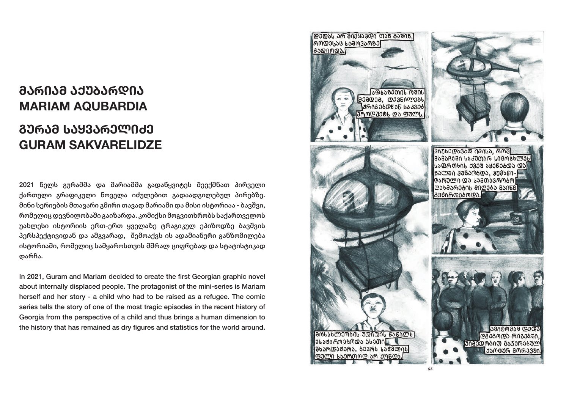# **ᲛᲐᲠᲘᲐᲛ ᲐᲥᲣᲑᲐᲠᲓᲘᲐ MARIAM AQUBARDIA**

## **ᲒᲣᲠᲐᲛ ᲡᲐᲧᲕᲐᲠᲔᲚᲘᲫᲔ GURAM SAKVARELIDZE**

2021 წელს გურამმა და მარიამმა გადაწყვიტეს შეექმნათ პირველი ქართული გრაფიკული ნოველა იძულებით გადაადგილებულ პირებზე. მინი სერიების მთავარი გმირი თავად მარიამი და მისი ისტორიაა - ბავშვი, რომელიც დევნილობაში გაიზარდა. კომიქსი მოგვითხრობს საქართველოს უახლესი ისტორიის ერთ-ერთ ყველაზე ტრაგიკულ ეპიზოდზე ბავშვის პერსპექტივიდან და ამგვარად, შემოაქვს ის ადამიანური განზომილება ისტორიაში, რომელიც სამყაროსთვის მშრალ ციფრებად და სტატისტიკად დარჩა.

In 2021, Guram and Mariam decided to create the first Georgian graphic novel about internally displaced people. The protagonist of the mini-series is Mariam herself and her story - a child who had to be raised as a refugee. The comic series tells the story of one of the most tragic episodes in the recent history of Georgia from the perspective of a child and thus brings a human dimension to the history that has remained as dry figures and statistics for the world around.

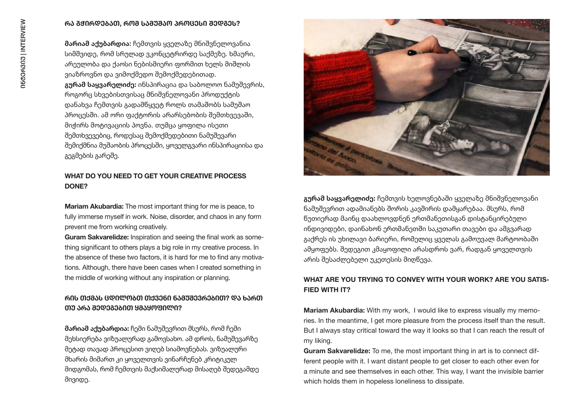#### **ᲠᲐ ᲒᲭᲘᲠᲓᲔᲑᲐᲗ, ᲠᲝᲛ ᲡᲐᲛᲣᲨᲐᲝ ᲞᲠᲝᲪᲔᲡᲘ ᲨᲔᲓᲒᲔᲡ?**

**მარიამ აქუბარდია**: ჩემთვის ყველაზე მნიშვნელოვანია სიმშვიდე, რომ სრულად ვკონცეტრირდე საქმეზე. ხმაური, არეულობა და ქაოსი ნებისმიერი ფორმით ხელს მიშლის ვიაზროვნო და ვიმოქმედო შემოქმედებითად. **გურამ საყვარელიძე:** ინსპირაცია და საბოლოო ნამუშევრის, როგორც სხვებისთვისაც მნიშვნელოვანი პროდუქტის დანახვა ჩემთვის გადამწყვეტ როლს თამაშობს სამუშაო პროცესში. ამ ორი ფაქტორის არარსებობის შემთხვევაში, მიჭირს მოტივაციის პოვნა. თუმცა ყოფილა ისეთი შემთხვევებიც, როდესაც შემოქმედებითი ნამუშევარი შემიქმნია მუშაობის პროცესში, ყოველგვარი ინსპირაციისა და გეგმების გარეშე.

#### **WHAT DO YOU NEED TO GET YOUR CREATIVE PROCESS DONE?**

**Mariam Akubardia:** The most important thing for me is peace, to fully immerse myself in work. Noise, disorder, and chaos in any form prevent me from working creatively.

**Guram Sakvarelidze:** Inspiration and seeing the final work as something significant to others plays a big role in my creative process. In the absence of these two factors, it is hard for me to find any motivations. Although, there have been cases when I created something in the middle of working without any inspiration or planning.

## **ᲠᲘᲡ ᲗᲥᲛᲐᲡ ᲪᲓᲘᲚᲝᲑᲗ ᲗᲥᲕᲔᲜᲘ ᲜᲐᲛᲣᲨᲔᲕᲠᲔᲑᲘᲗ? ᲓᲐ ᲮᲐᲠᲗ ᲗᲣ ᲐᲠᲐ ᲨᲔᲓᲔᲒᲔᲑᲘᲗ ᲧᲛᲐᲧᲝᲤᲘᲚᲘ?**

**მარიამ აქუბარდია:** ჩემი ნამუშევრით მსურს, რომ ჩემი მეხსიერება ვიზუალურად გამოვსახო. ამ დროს, ნამუშევარზე მეტად თავად პროცესით ვიღებ სიამოვნებას. ვიზუალური მხარის მიმართ კი ყოველთვის ვინარჩუნებ კრიტიკულ მიდგომას, რომ ჩემთვის მაქსიმალურად მისაღებ შედეგამდე მივიდე.



**გურამ საყვარელიძე:** ჩემთვის ხელოვნებაში ყველაზე მნიშვნელოვანი ნამუშევრით ადამიანებს შორის კავშირის დამყარებაა. მსურს, რომ წუთიერად მაინც დაახლოვდნენ ერთმანეთისგან დისტანცირებული ინდივიდები, დაინახონ ერთმანეთში საკუთარი თავები და ამგვარად გაქრეს ის უხილავი ბარიერი, რომელიც ყველას გამოუვალ მარტოობაში ამყოფებს. შედეგით კმაყოფილი არასდროს ვარ, რადგან ყოველთვის არის შესაძლებელი უკეთესის მიღწევა.

## **WHAT ARE YOU TRYING TO CONVEY WITH YOUR WORK? ARE YOU SATIS-FIED WITH IT?**

**Mariam Akubardia:** With my work, I would like to express visually my memories. In the meantime, I get more pleasure from the process itself than the result. But I always stay critical toward the way it looks so that I can reach the result of my liking.

**Guram Sakvarelidze:** To me, the most important thing in art is to connect different people with it. I want distant people to get closer to each other even for a minute and see themselves in each other. This way, I want the invisible barrier which holds them in hopeless loneliness to dissipate.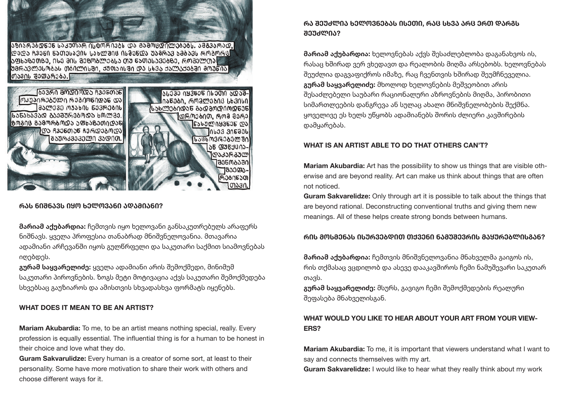

#### **ᲠᲐᲡ ᲜᲘᲨᲜᲐᲕᲡ ᲘᲧᲝ ᲮᲔᲚᲝᲕᲐᲜᲘ ᲐᲓᲐᲛᲘᲐᲜᲘ?**

**მარიამ აქუბარდია:** ჩემთვის იყო ხელოვანი განსაკუთრებულს არაფერს ნიშნავს. ყველა პროფესია თანაბრად მნიშვნელოვანია. მთავარია ადამიანი არჩევანში იყოს გულწრფელი და საკუთარი საქმით სიამოვნებას იღებდეს.

**გურამ საყვარელიძე:** ყველა ადამიანი არის შემოქმედი, მინიმუმ საკუთარი პიროვნების. ზოგს მეტი მოტივაცია აქვს საკუთარი შემოქმედება სხვებსაც გაუზიაროს და ამისთვის სხვადასხვა ფორმატს იყენებს.

#### **WHAT DOES IT MEAN TO BE AN ARTIST?**

**Mariam Akubardia:** To me, to be an artist means nothing special, really. Every profession is equally essential. The influential thing is for a human to be honest in their choice and love what they do.

**Guram Sakvarulidze:** Every human is a creator of some sort, at least to their personality. Some have more motivation to share their work with others and choose different ways for it.

## **ᲠᲐ ᲨᲔᲣᲫᲚᲘᲐ ᲮᲔᲚᲝᲕᲜᲔᲑᲐᲡ ᲘᲡᲔᲗᲘ, ᲠᲐᲪ ᲡᲮᲕᲐ ᲐᲠᲪ ᲔᲠᲗ ᲓᲐᲠᲒᲡ ᲨᲔᲣᲫᲚᲘᲐ?**

**მარიამ აქუბარდია:** ხელოვნებას აქვს შესაძლებლობა დაგანახვოს ის, რასაც ხშირად ვერ ვხედავთ და რეალობის მიღმა არსებობს. ხელოვნებას შეუძლია დაგვაფიქროს იმაზე, რაც ჩვენთვის ხშირად შეუმჩნეველია. **გურამ საყვარელიძე:** მხოლოდ ხელოვნების მეშვეობით არის შესაძლებელი საუბარი რაციონალური აზროვნების მიღმა, პირობითი სიმართლეების დანგრევა ან სულაც ახალი მნიშვნელობების შექმნა. ყოველივე ეს ხელს უწყობს ადამიანებს შორის ძლიერი კავშირების დამყარებას.

#### **WHAT IS AN ARTIST ABLE TO DO THAT OTHERS CAN'T?**

**Mariam Akubardia:** Art has the possibility to show us things that are visible otherwise and are beyond reality. Art can make us think about things that are often not noticed.

**Guram Sakvarelidze:** Only through art it is possible to talk about the things that are beyond rational. Deconstructing conventional truths and giving them new meanings. All of these helps create strong bonds between humans.

#### **ᲠᲘᲡ ᲛᲝᲡᲛᲔᲜᲐᲡ ᲘᲡᲣᲠᲕᲔᲑᲓᲘᲗ ᲗᲥᲕᲔᲜᲘ ᲜᲐᲛᲣᲨᲔᲕᲠᲘᲡ ᲛᲐᲧᲣᲠᲔᲑᲚᲘᲡᲒᲐᲜ?**

**მარიამ აქუბარდია:** ჩემთვის მნიშვნელოვანია მნახველმა გაიგოს ის, რის თქმასაც ვცდილობ და ასევე დააკავშიროს ჩემი ნამუშევარი საკუთარ თავს.

**გურამ საყვარელიძე:** მსურს, გავიგო ჩემი შემოქმედების რეალური შეფასება მნახველისგან.

## **WHAT WOULD YOU LIKE TO HEAR ABOUT YOUR ART FROM YOUR VIEW-ERS?**

**Mariam Akubardia:** To me, it is important that viewers understand what I want to say and connects themselves with my art.

**Guram Sakvarelidze:** I would like to hear what they really think about my work